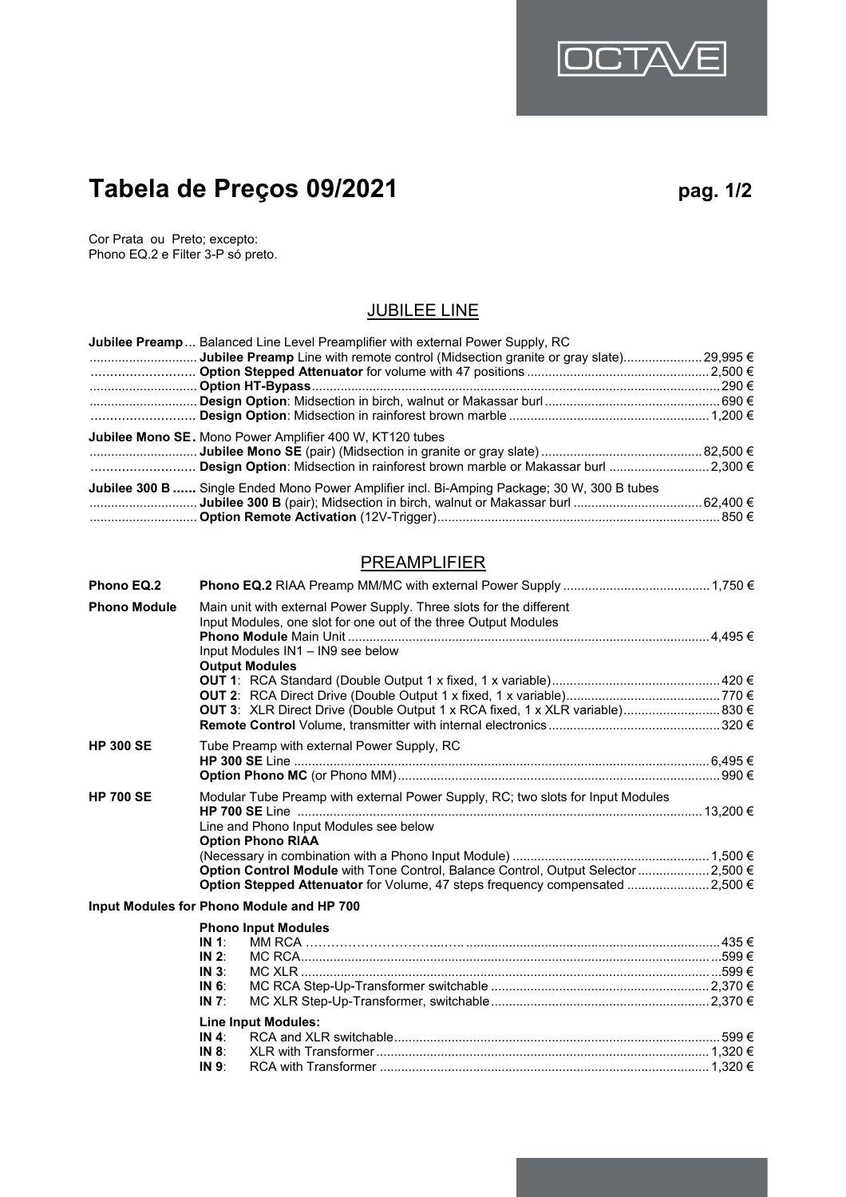# **Tabela de Preços 09/2021 pag. 1/2**

OCTA

Cor Prata ou Preto; excepto: Phono EQ.2 e Filter 3-P só preto.

## JUBILEE LINE

| <b>Jubilee Preamp</b> Balanced Line Level Preamplifier with external Power Supply, RC              |  |
|----------------------------------------------------------------------------------------------------|--|
| <b>Jubilee Preamp</b> Line with remote control (Midsection granite or gray slate) 29,995 $\in$<br> |  |
|                                                                                                    |  |
|                                                                                                    |  |
|                                                                                                    |  |
|                                                                                                    |  |
| <b>Jubilee Mono SE.</b> Mono Power Amplifier 400 W, KT120 tubes                                    |  |
|                                                                                                    |  |
| Design Option: Midsection in rainforest brown marble or Makassar burl 2,300 €                      |  |
| Jubilee 300 B  Single Ended Mono Power Amplifier incl. Bi-Amping Package; 30 W, 300 B tubes        |  |
|                                                                                                    |  |
|                                                                                                    |  |

## **PREAMPLIFIER**

| Phono EQ.2          |                                                                                                                                                                                                                                                                                                                                    |  |
|---------------------|------------------------------------------------------------------------------------------------------------------------------------------------------------------------------------------------------------------------------------------------------------------------------------------------------------------------------------|--|
| <b>Phono Module</b> | Main unit with external Power Supply. Three slots for the different<br>Input Modules, one slot for one out of the three Output Modules<br>Input Modules IN1 - IN9 see below<br><b>Output Modules</b><br>OUT 3: XLR Direct Drive (Double Output 1 x RCA fixed, 1 x XLR variable) 830 €                                              |  |
| <b>HP 300 SE</b>    | Tube Preamp with external Power Supply, RC                                                                                                                                                                                                                                                                                         |  |
| <b>HP 700 SE</b>    | Modular Tube Preamp with external Power Supply, RC; two slots for Input Modules<br>Line and Phono Input Modules see below<br><b>Option Phono RIAA</b><br>Option Control Module with Tone Control, Balance Control, Output Selector  2,500 €<br><b>Option Stepped Attenuator</b> for Volume, 47 steps frequency compensated 2,500 € |  |
|                     | Input Modules for Phono Module and HP 700                                                                                                                                                                                                                                                                                          |  |
|                     | <b>Phono Input Modules</b><br>IN 1:<br>IN 2:<br>$IN_3$ :<br>IN 6:<br>IN $7$ :                                                                                                                                                                                                                                                      |  |
|                     | <b>Line Input Modules:</b><br>IN 4:<br>IN $8$ :<br>IN 9:                                                                                                                                                                                                                                                                           |  |